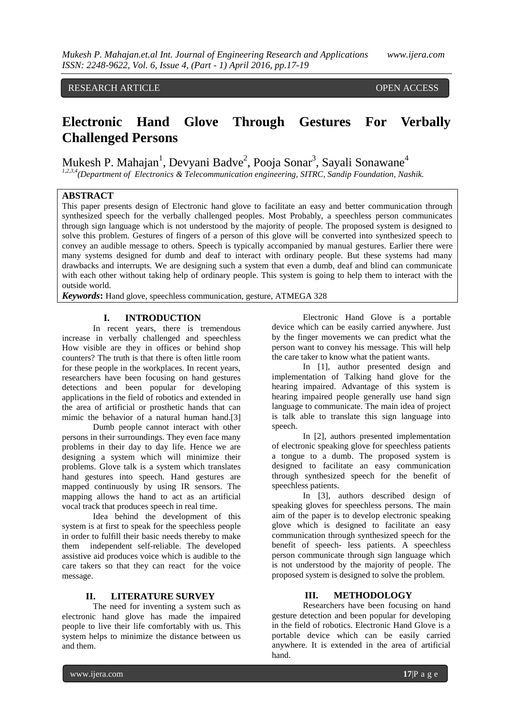# RESEARCH ARTICLE OPEN ACCESS

# **Electronic Hand Glove Through Gestures For Verbally Challenged Persons**

Mukesh P. Mahajan<sup>1</sup>, Devyani Badve<sup>2</sup>, Pooja Sonar<sup>3</sup>, Sayali Sonawane<sup>4</sup>

*1,2,3,4(Department of Electronics & Telecommunication engineering, SITRC, Sandip Foundation, Nashik.*

# **ABSTRACT**

This paper presents design of Electronic hand glove to facilitate an easy and better communication through synthesized speech for the verbally challenged peoples. Most Probably, a speechless person communicates through sign language which is not understood by the majority of people. The proposed system is designed to solve this problem. Gestures of fingers of a person of this glove will be converted into synthesized speech to convey an audible message to others. Speech is typically accompanied by manual gestures. Earlier there were many systems designed for dumb and deaf to interact with ordinary people. But these systems had many drawbacks and interrupts. We are designing such a system that even a dumb, deaf and blind can communicate with each other without taking help of ordinary people. This system is going to help them to interact with the outside world.

*Keywords***:** Hand glove, speechless communication, gesture, ATMEGA 328

### **I. INTRODUCTION**

In recent years, there is tremendous increase in verbally challenged and speechless How visible are they in offices or behind shop counters? The truth is that there is often little room for these people in the workplaces. In recent years, researchers have been focusing on hand gestures detections and been popular for developing applications in the field of robotics and extended in the area of artificial or prosthetic hands that can mimic the behavior of a natural human hand.[3]

Dumb people cannot interact with other persons in their surroundings. They even face many problems in their day to day life. Hence we are designing a system which will minimize their problems. Glove talk is a system which translates hand gestures into speech. Hand gestures are mapped continuously by using IR sensors. The mapping allows the hand to act as an artificial vocal track that produces speech in real time.

Idea behind the development of this system is at first to speak for the speechless people in order to fulfill their basic needs thereby to make them independent self-reliable. The developed assistive aid produces voice which is audible to the care takers so that they can react for the voice message.

### **II. LITERATURE SURVEY**

The need for inventing a system such as electronic hand glove has made the impaired people to live their life comfortably with us. This system helps to minimize the distance between us and them.

Electronic Hand Glove is a portable device which can be easily carried anywhere. Just by the finger movements we can predict what the person want to convey his message. This will help the care taker to know what the patient wants.

In [1], author presented design and implementation of Talking hand glove for the hearing impaired. Advantage of this system is hearing impaired people generally use hand sign language to communicate. The main idea of project is talk able to translate this sign language into speech.

In [2], authors presented implementation of electronic speaking glove for speechless patients a tongue to a dumb. The proposed system is designed to facilitate an easy communication through synthesized speech for the benefit of speechless patients.

In [3], authors described design of speaking gloves for speechless persons. The main aim of the paper is to develop electronic speaking glove which is designed to facilitate an easy communication through synthesized speech for the benefit of speech- less patients. A speechless person communicate through sign language which is not understood by the majority of people. The proposed system is designed to solve the problem.

# **III. METHODOLOGY**

Researchers have been focusing on hand gesture detection and been popular for developing in the field of robotics. Electronic Hand Glove is a portable device which can be easily carried anywhere. It is extended in the area of artificial hand.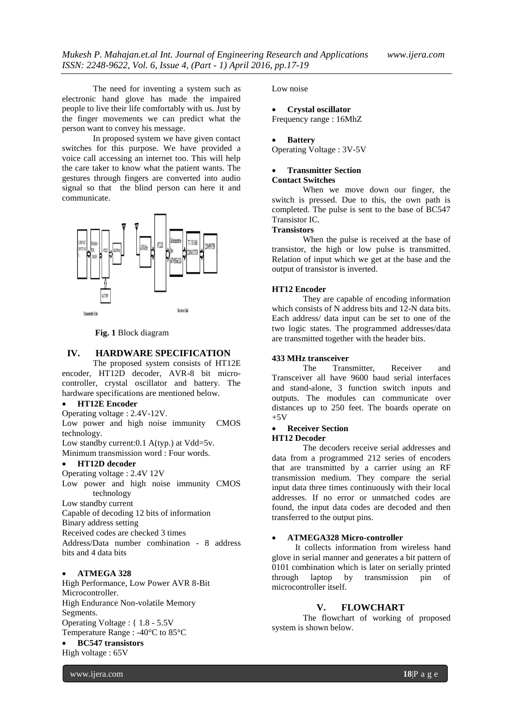The need for inventing a system such as electronic hand glove has made the impaired people to live their life comfortably with us. Just by the finger movements we can predict what the person want to convey his message.

In proposed system we have given contact switches for this purpose. We have provided a voice call accessing an internet too. This will help the care taker to know what the patient wants. The gestures through fingers are converted into audio signal so that the blind person can here it and communicate.



**Fig. 1** Block diagram

### **IV. HARDWARE SPECIFICATION**

The proposed system consists of HT12E encoder, HT12D decoder, AVR-8 bit microcontroller, crystal oscillator and battery. The hardware specifications are mentioned below.

### **HT12E Encoder**

Operating voltage : 2.4V-12V.

Low power and high noise immunity CMOS technology. Low standby current: 0.1 A(typ.) at Vdd=5v.

Minimum transmission word : Four words.

### **HT12D decoder**

Operating voltage : 2.4V 12V

Low power and high noise immunity CMOS technology

Low standby current

Capable of decoding 12 bits of information

Binary address setting

Received codes are checked 3 times

Address/Data number combination - 8 address bits and 4 data bits

# **ATMEGA 328**

High Performance, Low Power AVR 8-Bit Microcontroller. High Endurance Non-volatile Memory Segments. Operating Voltage : { 1.8 - 5.5V Temperature Range : -40°C to 85°C

# **BC547 transistors**

High voltage : 65V

Low noise

# **Crystal oscillator**

Frequency range : 16MhZ

### **Battery**

Operating Voltage : 3V-5V

# **Transmitter Section**

**Contact Switches**

When we move down our finger, the switch is pressed. Due to this, the own path is completed. The pulse is sent to the base of BC547 Transistor IC.

### **Transistors**

When the pulse is received at the base of transistor, the high or low pulse is transmitted. Relation of input which we get at the base and the output of transistor is inverted.

### **HT12 Encoder**

They are capable of encoding information which consists of N address bits and 12-N data bits. Each address/ data input can be set to one of the two logic states. The programmed addresses/data are transmitted together with the header bits.

### **433 MHz transceiver**

The Transmitter, Receiver and Transceiver all have 9600 baud serial interfaces and stand-alone, 3 function switch inputs and outputs. The modules can communicate over distances up to 250 feet. The boards operate on  $+5V$ 

### **Receiver Section HT12 Decoder**

The decoders receive serial addresses and data from a programmed 212 series of encoders that are transmitted by a carrier using an RF transmission medium. They compare the serial input data three times continuously with their local addresses. If no error or unmatched codes are found, the input data codes are decoded and then transferred to the output pins.

#### **ATMEGA328 Micro-controller**

It collects information from wireless hand glove in serial manner and generates a bit pattern of 0101 combination which is later on serially printed through laptop by transmission pin of microcontroller itself.

# **V. FLOWCHART**

The flowchart of working of proposed system is shown below.